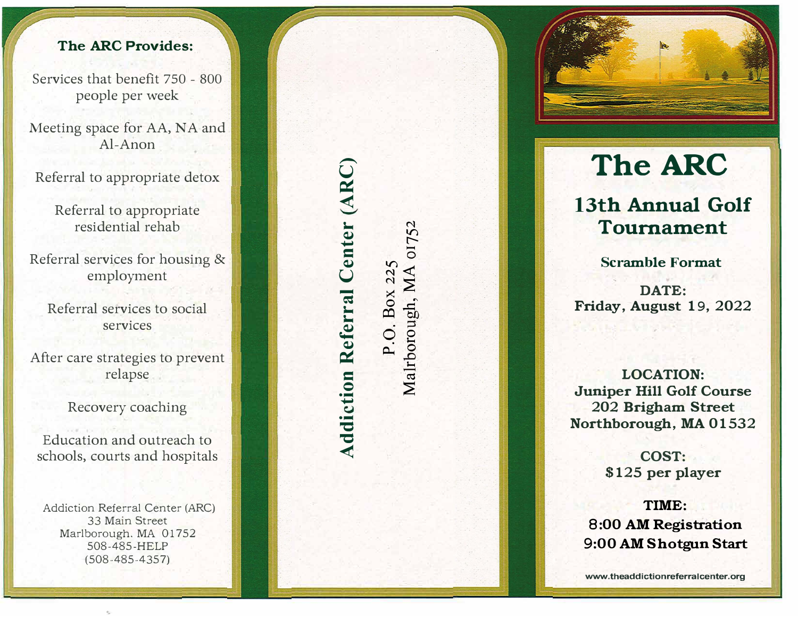### **The ARC Provides:**

Services that benefit 750 - 800 people per week

Meeting space for AA, NA and Al-Anon

Referral to appropriate detox

Referral to appropriate residential rehab

Referral services for housing & employment

Referral services to social services

After care strategies to prevent relapse

Recovery coaching

Education and outreach to schools, courts and hospitals

Addiction Referral Center (ARC) 33 Ma in Street Marlborough. MA 01752 508-485-HELP  $(508 - 485 - 4357)$ 

 $\sim$ 

## $\bigcirc$ ter (AR **1 Center** ferral Ce *Q)*  � **00** Ke tion 1 dictio  $\mathbf{A}$

**tr)** t-,-; **Box 225**<br>gh, MA .<br>**110** P.O. Box 225 **1-.**   $\vec{p}$ 

�

 $\tilde{a}$ 



# **The ARC**

### **1 3th Annual Golf Tournament**

**Scramble Format** 

**DATE: Friday, Aug ust 1 9 , 2022**

**LOCATION: Juniper Hill Golf Course 202 Brigham Stre et Northborough, MA 01532** 

> **COST: \$125 p e r player**

**TIME: 8:00 AM Registration 9:00 AM Shotgun Start**

www.theaddictionrefer ralcenter.org